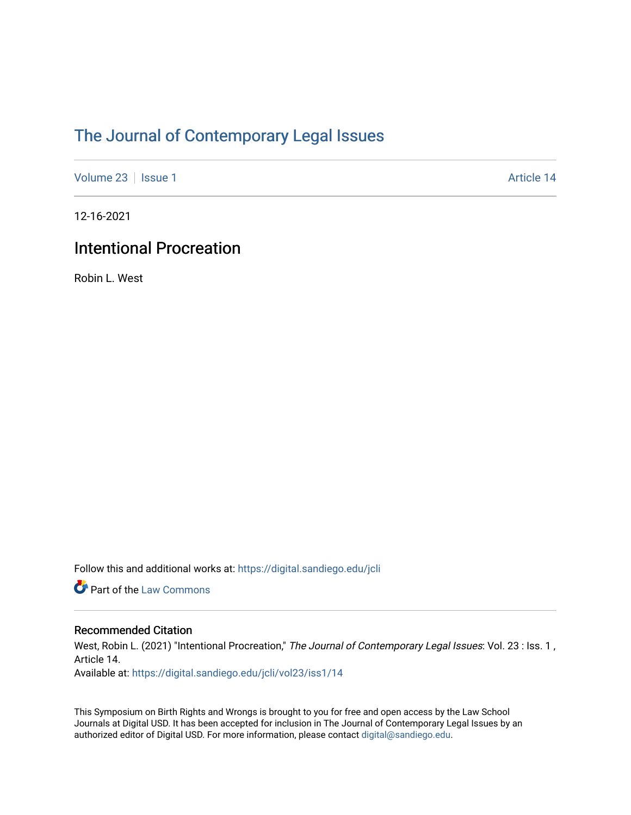# [The Journal of Contemporary Legal Issues](https://digital.sandiego.edu/jcli)

[Volume 23](https://digital.sandiego.edu/jcli/vol23) | [Issue 1](https://digital.sandiego.edu/jcli/vol23/iss1) Article 14

12-16-2021

## Intentional Procreation

Robin L. West

Follow this and additional works at: [https://digital.sandiego.edu/jcli](https://digital.sandiego.edu/jcli?utm_source=digital.sandiego.edu%2Fjcli%2Fvol23%2Fiss1%2F14&utm_medium=PDF&utm_campaign=PDFCoverPages) 

Part of the [Law Commons](http://network.bepress.com/hgg/discipline/578?utm_source=digital.sandiego.edu%2Fjcli%2Fvol23%2Fiss1%2F14&utm_medium=PDF&utm_campaign=PDFCoverPages)

### Recommended Citation

West, Robin L. (2021) "Intentional Procreation," The Journal of Contemporary Legal Issues: Vol. 23 : Iss. 1, Article 14.

Available at: [https://digital.sandiego.edu/jcli/vol23/iss1/14](https://digital.sandiego.edu/jcli/vol23/iss1/14?utm_source=digital.sandiego.edu%2Fjcli%2Fvol23%2Fiss1%2F14&utm_medium=PDF&utm_campaign=PDFCoverPages) 

This Symposium on Birth Rights and Wrongs is brought to you for free and open access by the Law School Journals at Digital USD. It has been accepted for inclusion in The Journal of Contemporary Legal Issues by an authorized editor of Digital USD. For more information, please contact [digital@sandiego.edu](mailto:digital@sandiego.edu).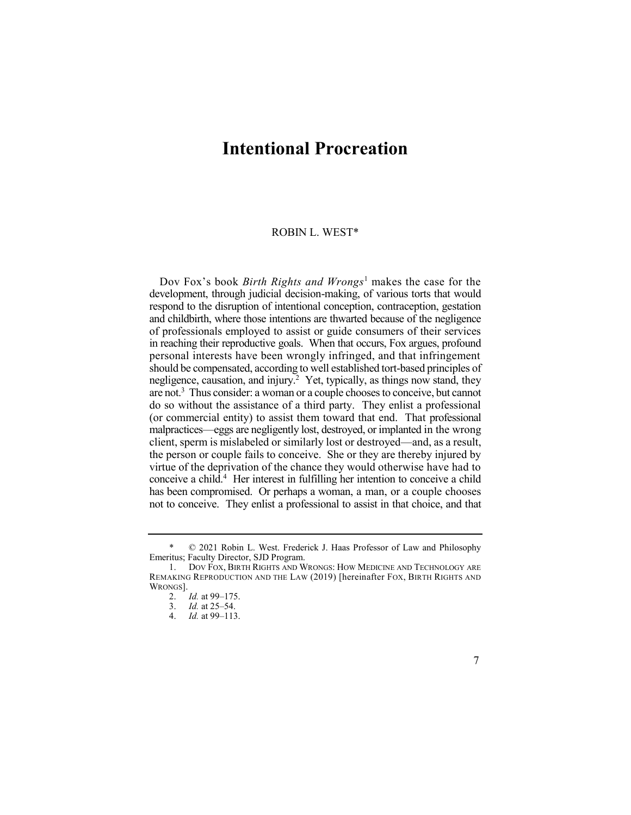### **Intentional Procreation**

#### ROBIN L. WEST\*

 Dov Fox's book *Birth Rights and Wrongs*1 makes the case for the negligence, causation, and injury.<sup>2</sup> Yet, typically, as things now stand, they are not.<sup>3</sup> Thus consider: a woman or a couple chooses to conceive, but cannot conceive a child.<sup>4</sup> Her interest in fulfilling her intention to conceive a child development, through judicial decision-making, of various torts that would respond to the disruption of intentional conception, contraception, gestation and childbirth, where those intentions are thwarted because of the negligence of professionals employed to assist or guide consumers of their services in reaching their reproductive goals. When that occurs, Fox argues, profound personal interests have been wrongly infringed, and that infringement should be compensated, according to well established tort-based principles of do so without the assistance of a third party. They enlist a professional (or commercial entity) to assist them toward that end. That professional malpractices—eggs are negligently lost, destroyed, or implanted in the wrong client, sperm is mislabeled or similarly lost or destroyed—and, as a result, the person or couple fails to conceive. She or they are thereby injured by virtue of the deprivation of the chance they would otherwise have had to has been compromised. Or perhaps a woman, a man, or a couple chooses not to conceive. They enlist a professional to assist in that choice, and that

 \* © 2021 Robin L. West. Frederick J. Haas Professor of Law and Philosophy Emeritus; Faculty Director, SJD Program.

 1. DOV FOX, BIRTH RIGHTS AND WRONGS: HOW MEDICINE AND TECHNOLOGY ARE REMAKING REPRODUCTION AND THE LAW (2019) [hereinafter FOX, BIRTH RIGHTS AND WRONGS].

<sup>2.</sup> *Id.* at 99–175.

<sup>3.</sup> *Id.* at 25–54.

<sup>4.</sup> *Id.* at 99–113.

<sup>7</sup>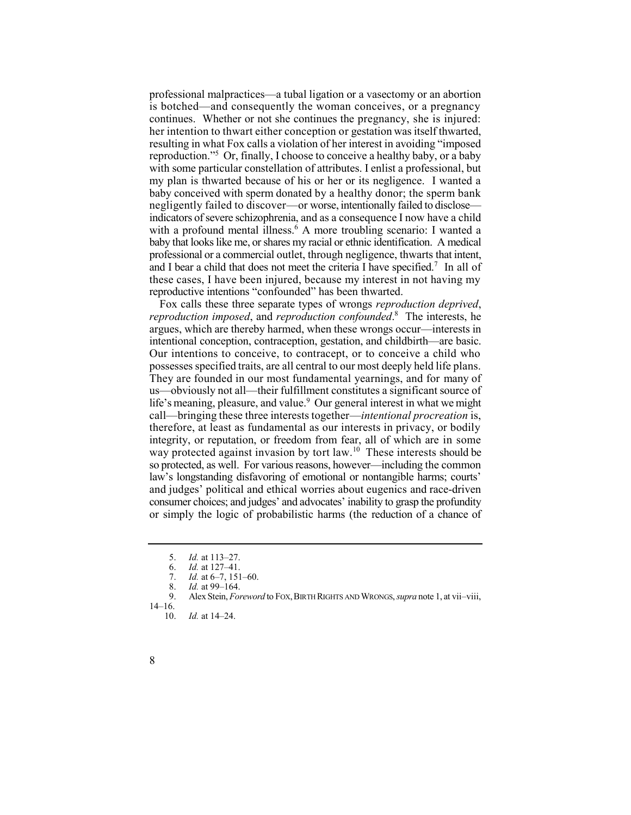professional malpractices—a tubal ligation or a vasectomy or an abortion is botched—and consequently the woman conceives, or a pregnancy continues. Whether or not she continues the pregnancy, she is injured: her intention to thwart either conception or gestation was itself thwarted, reproduction."5 Or, finally, I choose to conceive a healthy baby, or a baby with a profound mental illness.<sup>6</sup> A more troubling scenario: I wanted a and I bear a child that does not meet the criteria I have specified.<sup>7</sup> In all of resulting in what Fox calls a violation of her interest in avoiding "imposed with some particular constellation of attributes. I enlist a professional, but my plan is thwarted because of his or her or its negligence. I wanted a baby conceived with sperm donated by a healthy donor; the sperm bank negligently failed to discover—or worse, intentionally failed to disclose indicators of severe schizophrenia, and as a consequence I now have a child baby that looks like me, or shares my racial or ethnic identification. A medical professional or a commercial outlet, through negligence, thwarts that intent, these cases, I have been injured, because my interest in not having my reproductive intentions "confounded" has been thwarted.

 *reproduction imposed*, and *reproduction confounded*. 8 The interests, he life's meaning, pleasure, and value.<sup>9</sup> Our general interest in what we might way protected against invasion by tort law.<sup>10</sup> These interests should be Fox calls these three separate types of wrongs *reproduction deprived*, argues, which are thereby harmed, when these wrongs occur—interests in intentional conception, contraception, gestation, and childbirth—are basic. Our intentions to conceive, to contracept, or to conceive a child who possesses specified traits, are all central to our most deeply held life plans. They are founded in our most fundamental yearnings, and for many of us—obviously not all—their fulfillment constitutes a significant source of call—bringing these three interests together—*intentional procreation* is, therefore, at least as fundamental as our interests in privacy, or bodily integrity, or reputation, or freedom from fear, all of which are in some so protected, as well. For various reasons, however—including the common law's longstanding disfavoring of emotional or nontangible harms; courts' and judges' political and ethical worries about eugenics and race-driven consumer choices; and judges' and advocates' inability to grasp the profundity or simply the logic of probabilistic harms (the reduction of a chance of

<sup>5.</sup> *Id.* at 113–27.

<sup>6.</sup> *Id.* at 127–41.

<sup>7.</sup> *Id.* at 6–7, 151–60.

<sup>8.</sup> *Id.* at 99–164.<br>9. Alex Stein *For* 

 9. Alex Stein, *Foreword* to FOX, BIRTH RIGHTS AND WRONGS, *supra* note 1, at vii–viii, 14–16.

<sup>10.</sup> *Id.* at 14–24.

<sup>8</sup>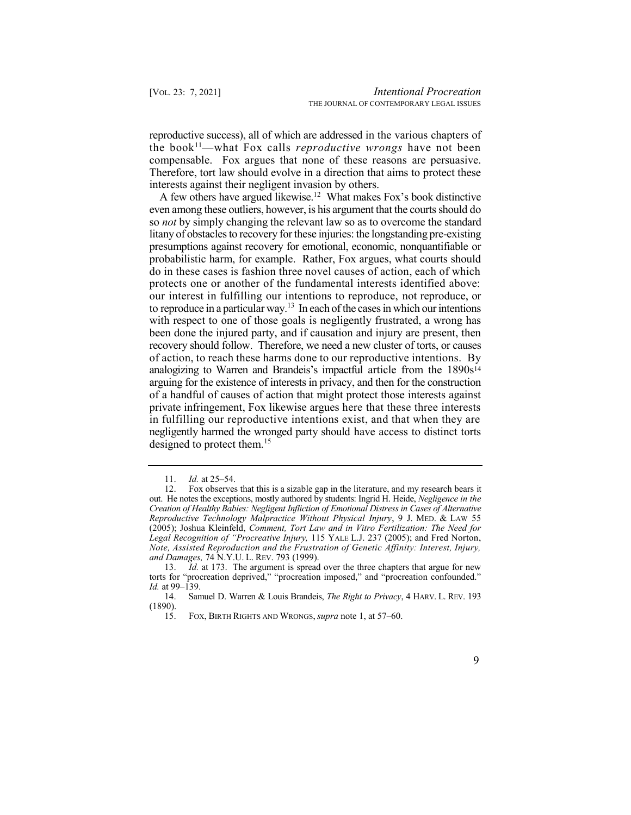the book<sup>11</sup>—what Fox calls *reproductive wrongs* have not been reproductive success), all of which are addressed in the various chapters of compensable. Fox argues that none of these reasons are persuasive. Therefore, tort law should evolve in a direction that aims to protect these interests against their negligent invasion by others.

A few others have argued likewise.<sup>12</sup> What makes Fox's book distinctive to reproduce in a particular way.<sup>13</sup> In each of the cases in which our intentions analogizing to Warren and Brandeis's impactful article from the 1890s<sup>14</sup> arguing for the existence of interests in privacy, and then for the construction of a handful of causes of action that might protect those interests against private infringement, Fox likewise argues here that these three interests in fulfilling our reproductive intentions exist, and that when they are negligently harmed the wronged party should have access to distinct torts even among these outliers, however, is his argument that the courts should do so *not* by simply changing the relevant law so as to overcome the standard litany of obstacles to recovery for these injuries: the longstanding pre-existing presumptions against recovery for emotional, economic, nonquantifiable or probabilistic harm, for example. Rather, Fox argues, what courts should do in these cases is fashion three novel causes of action, each of which protects one or another of the fundamental interests identified above: our interest in fulfilling our intentions to reproduce, not reproduce, or with respect to one of those goals is negligently frustrated, a wrong has been done the injured party, and if causation and injury are present, then recovery should follow. Therefore, we need a new cluster of torts, or causes of action, to reach these harms done to our reproductive intentions. By designed to protect them.<sup>15</sup>

<sup>11.</sup> *Id.* at 25–54.

<sup>12.</sup> Fox observes that this is a sizable gap in the literature, and my research bears it out. He notes the exceptions, mostly authored by students: Ingrid H. Heide, *Negligence in the Creation of Healthy Babies: Negligent Infliction of Emotional Distress in Cases of Alternative Reproductive Technology Malpractice Without Physical Injury*, 9 J. MED. & LAW 55 (2005); Joshua Kleinfeld, *Comment, Tort Law and in Vitro Fertilization: The Need for Legal Recognition of "Procreative Injury,* 115 YALE L.J. 237 (2005); and Fred Norton, *Note, Assisted Reproduction and the Frustration of Genetic Affinity: Interest, Injury, and Damages,* 74 N.Y.U. L. REV. 793 (1999).

<sup>13.</sup> *Id.* at 173. The argument is spread over the three chapters that argue for new torts for "procreation deprived," "procreation imposed," and "procreation confounded." *Id.* at 99–139.<br>14. San

 14. Samuel D. Warren & Louis Brandeis, *The Right to Privacy*, 4 HARV. L. REV. 193 (1890).

<sup>15.</sup> FOX, BIRTH RIGHTS AND WRONGS, *supra* note 1, at 57–60.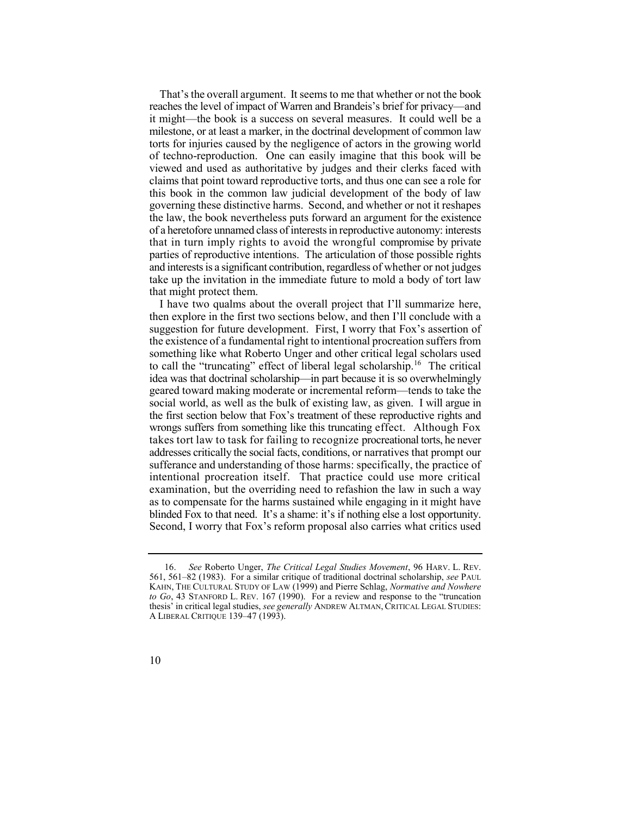That's the overall argument. It seems to me that whether or not the book reaches the level of impact of Warren and Brandeis's brief for privacy—and it might—the book is a success on several measures. It could well be a milestone, or at least a marker, in the doctrinal development of common law torts for injuries caused by the negligence of actors in the growing world of techno-reproduction. One can easily imagine that this book will be viewed and used as authoritative by judges and their clerks faced with claims that point toward reproductive torts, and thus one can see a role for this book in the common law judicial development of the body of law governing these distinctive harms. Second, and whether or not it reshapes the law, the book nevertheless puts forward an argument for the existence of a heretofore unnamed class of interests in reproductive autonomy: interests that in turn imply rights to avoid the wrongful compromise by private and interests is a significant contribution, regardless of whether or not judges take up the invitation in the immediate future to mold a body of tort law parties of reproductive intentions. The articulation of those possible rights that might protect them.

 I have two qualms about the overall project that I'll summarize here, to call the "truncating" effect of liberal legal [scholarship.](https://scholarship.16)<sup>16</sup> The critical then explore in the first two sections below, and then I'll conclude with a suggestion for future development. First, I worry that Fox's assertion of the existence of a fundamental right to intentional procreation suffers from something like what Roberto Unger and other critical legal scholars used idea was that doctrinal scholarship—in part because it is so overwhelmingly geared toward making moderate or incremental reform—tends to take the social world, as well as the bulk of existing law, as given. I will argue in the first section below that Fox's treatment of these reproductive rights and wrongs suffers from something like this truncating effect. Although Fox takes tort law to task for failing to recognize procreational torts, he never addresses critically the social facts, conditions, or narratives that prompt our sufferance and understanding of those harms: specifically, the practice of intentional procreation itself. That practice could use more critical examination, but the overriding need to refashion the law in such a way as to compensate for the harms sustained while engaging in it might have blinded Fox to that need. It's a shame: it's if nothing else a lost opportunity. Second, I worry that Fox's reform proposal also carries what critics used

 16. *See* Roberto Unger, *The Critical Legal Studies Movement*, 96 HARV. L. REV. 561, 561–82 (1983). For a similar critique of traditional doctrinal scholarship, *see* PAUL KAHN, THE CULTURAL STUDY OF LAW (1999) and Pierre Schlag, *Normative and Nowhere to Go*, 43 STANFORD L. REV. 167 (1990). For a review and response to the "truncation thesis' in critical legal studies, *see generally* ANDREW ALTMAN, CRITICAL LEGAL STUDIES: A LIBERAL CRITIQUE 139–47 (1993).

<sup>10</sup>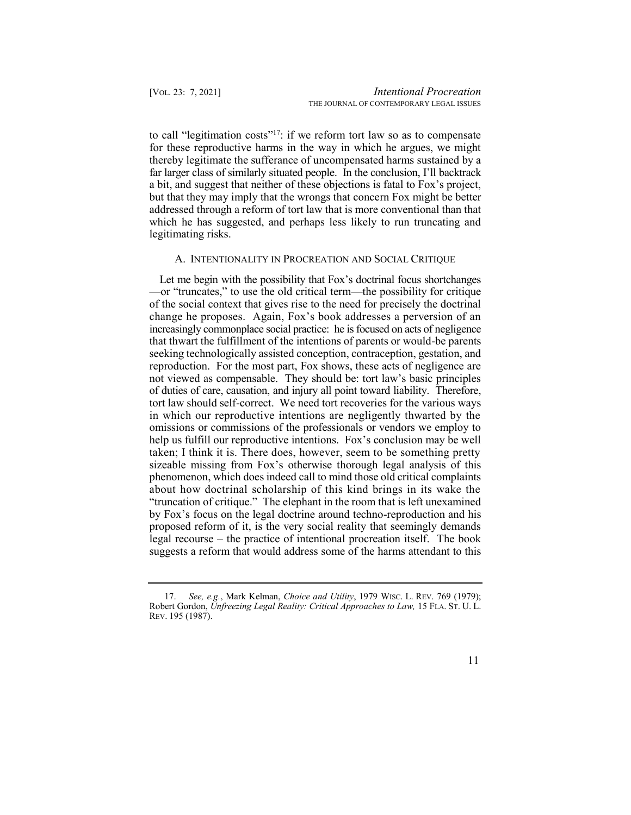to call "legitimation costs"<sup>17</sup>: if we reform tort law so as to compensate thereby legitimate the sufferance of uncompensated harms sustained by a far larger class of similarly situated people. In the conclusion, I'll backtrack addressed through a reform of tort law that is more conventional than that which he has suggested, and perhaps less likely to run truncating and for these reproductive harms in the way in which he argues, we might a bit, and suggest that neither of these objections is fatal to Fox's project, but that they may imply that the wrongs that concern Fox might be better legitimating risks.

#### A. INTENTIONALITY IN PROCREATION AND SOCIAL CRITIQUE

 Let me begin with the possibility that Fox's doctrinal focus shortchanges —or "truncates," to use the old critical term—the possibility for critique of the social context that gives rise to the need for precisely the doctrinal change he proposes. Again, Fox's book addresses a perversion of an increasingly commonplace social practice: he is focused on acts of negligence that thwart the fulfillment of the intentions of parents or would-be parents reproduction. For the most part, Fox shows, these acts of negligence are not viewed as compensable. They should be: tort law's basic principles of duties of care, causation, and injury all point toward liability. Therefore, tort law should self-correct. We need tort recoveries for the various ways in which our reproductive intentions are negligently thwarted by the omissions or commissions of the professionals or vendors we employ to taken; I think it is. There does, however, seem to be something pretty sizeable missing from Fox's otherwise thorough legal analysis of this phenomenon, which does indeed call to mind those old critical complaints about how doctrinal scholarship of this kind brings in its wake the "truncation of critique." The elephant in the room that is left unexamined by Fox's focus on the legal doctrine around techno-reproduction and his proposed reform of it, is the very social reality that seemingly demands legal recourse – the practice of intentional procreation itself. The book suggests a reform that would address some of the harms attendant to this seeking technologically assisted conception, contraception, gestation, and help us fulfill our reproductive intentions. Fox's conclusion may be well

 17. *See, e.g.*, Mark Kelman, *Choice and Utility*, 1979 WISC. L. REV. 769 (1979); Robert Gordon, *Unfreezing Legal Reality: Critical Approaches to Law,* 15 FLA. ST. U. L. REV. 195 (1987).

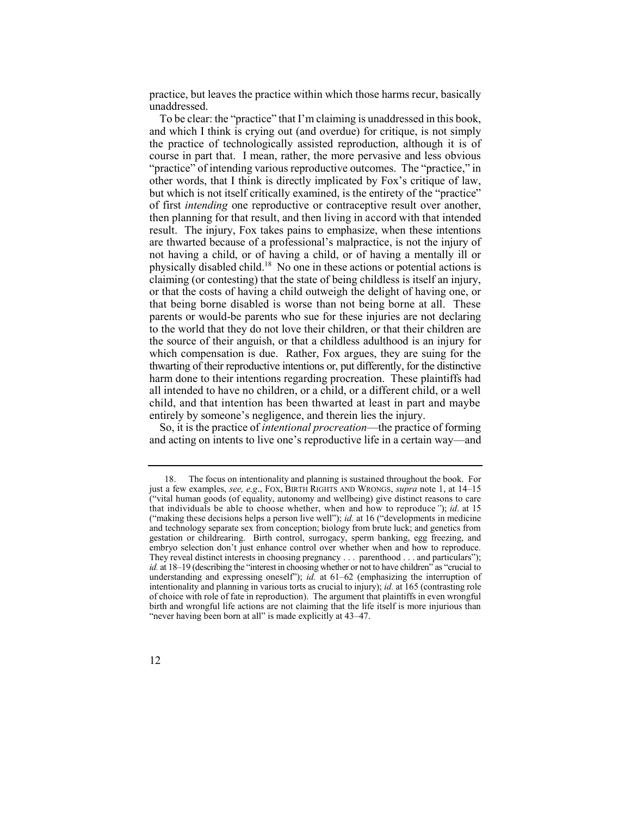practice, but leaves the practice within which those harms recur, basically unaddressed.

 To be clear: the "practice" that I'm claiming is unaddressed in this book, and which I think is crying out (and overdue) for critique, is not simply the practice of technologically assisted reproduction, although it is of course in part that. I mean, rather, the more pervasive and less obvious "practice" of intending various reproductive outcomes. The "practice," in other words, that I think is directly implicated by Fox's critique of law, but which is not itself critically examined, is the entirety of the "practice" of first *intending* one reproductive or contraceptive result over another, then planning for that result, and then living in accord with that intended physically disabled child.<sup>18</sup> No one in these actions or potential actions is parents or would-be parents who sue for these injuries are not declaring to the world that they do not love their children, or that their children are the source of their anguish, or that a childless adulthood is an injury for which compensation is due. Rather, Fox argues, they are suing for the thwarting of their reproductive intentions or, put differently, for the distinctive all intended to have no children, or a child, or a different child, or a well child, and that intention has been thwarted at least in part and maybe result. The injury, Fox takes pains to emphasize, when these intentions are thwarted because of a professional's malpractice, is not the injury of not having a child, or of having a child, or of having a mentally ill or claiming (or contesting) that the state of being childless is itself an injury, or that the costs of having a child outweigh the delight of having one, or that being borne disabled is worse than not being borne at all. These harm done to their intentions regarding procreation. These plaintiffs had entirely by someone's negligence, and therein lies the injury.

 So, it is the practice of *intentional procreation*—the practice of forming and acting on intents to live one's reproductive life in a certain way—and

<sup>18.</sup> The focus on intentionality and planning is sustained throughout the book. For just a few examples, *see, e.g*., FOX, BIRTH RIGHTS AND WRONGS, *supra* note 1, at 14–15 ("vital human goods (of equality, autonomy and wellbeing) give distinct reasons to care that individuals be able to choose whether, when and how to reproduce*"*); *id*. at 15 ("making these decisions helps a person live well"); *id.* at 16 ("developments in medicine and technology separate sex from conception; biology from brute luck; and genetics from gestation or childrearing. Birth control, surrogacy, sperm banking, egg freezing, and embryo selection don't just enhance control over whether when and how to reproduce. They reveal distinct interests in choosing pregnancy . . . parenthood . . . and particulars"); *id.* at 18–19 (describing the "interest in choosing whether or not to have children" as "crucial to understanding and expressing oneself"); *id.* at 61–62 (emphasizing the interruption of intentionality and planning in various torts as crucial to injury); *id.* at 165 (contrasting role of choice with role of fate in reproduction). The argument that plaintiffs in even wrongful birth and wrongful life actions are not claiming that the life itself is more injurious than "never having been born at all" is made explicitly at 43–47.

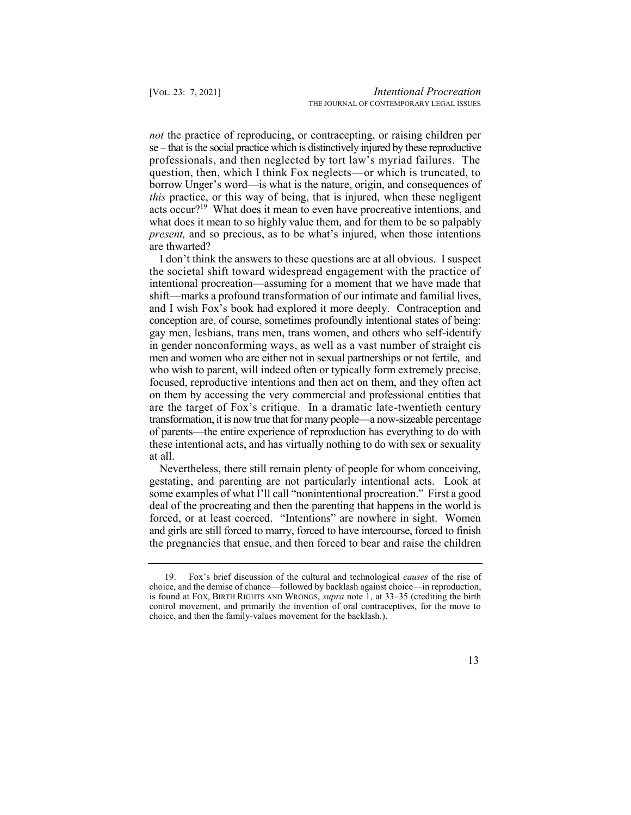*not* the practice of reproducing, or contracepting, or raising children per acts occur?<sup>19</sup> What does it mean to even have procreative intentions, and se – that is the social practice which is distinctively injured by these reproductive professionals, and then neglected by tort law's myriad failures. The question, then, which I think Fox neglects—or which is truncated, to borrow Unger's word—is what is the nature, origin, and consequences of *this* practice, or this way of being, that is injured, when these negligent what does it mean to so highly value them, and for them to be so palpably *present*, and so precious, as to be what's injured, when those intentions are thwarted?

 I don't think the answers to these questions are at all obvious. I suspect the societal shift toward widespread engagement with the practice of intentional procreation—assuming for a moment that we have made that shift—marks a profound transformation of our intimate and familial lives, and I wish Fox's book had explored it more deeply. Contraception and conception are, of course, sometimes profoundly intentional states of being: gay men, lesbians, trans men, trans women, and others who self-identify in gender nonconforming ways, as well as a vast number of straight cis men and women who are either not in sexual partnerships or not fertile, and who wish to parent, will indeed often or typically form extremely precise, focused, reproductive intentions and then act on them, and they often act on them by accessing the very commercial and professional entities that are the target of Fox's critique. In a dramatic late-twentieth century transformation, it is now true that for many people—a now-sizeable percentage of parents—the entire experience of reproduction has everything to do with these intentional acts, and has virtually nothing to do with sex or sexuality at all.

 Nevertheless, there still remain plenty of people for whom conceiving, gestating, and parenting are not particularly intentional acts. Look at some examples of what I'll call "nonintentional procreation." First a good deal of the procreating and then the parenting that happens in the world is forced, or at least coerced. "Intentions" are nowhere in sight. Women and girls are still forced to marry, forced to have intercourse, forced to finish the pregnancies that ensue, and then forced to bear and raise the children

 19. Fox's brief discussion of the cultural and technological *causes* of the rise of choice, and the demise of chance—followed by backlash against choice—in reproduction, is found at FOX, BIRTH RIGHTS AND WRONGS, *supra* note 1, at 33–35 (crediting the birth control movement, and primarily the invention of oral contraceptives, for the move to choice, and then the family-values movement for the backlash.).

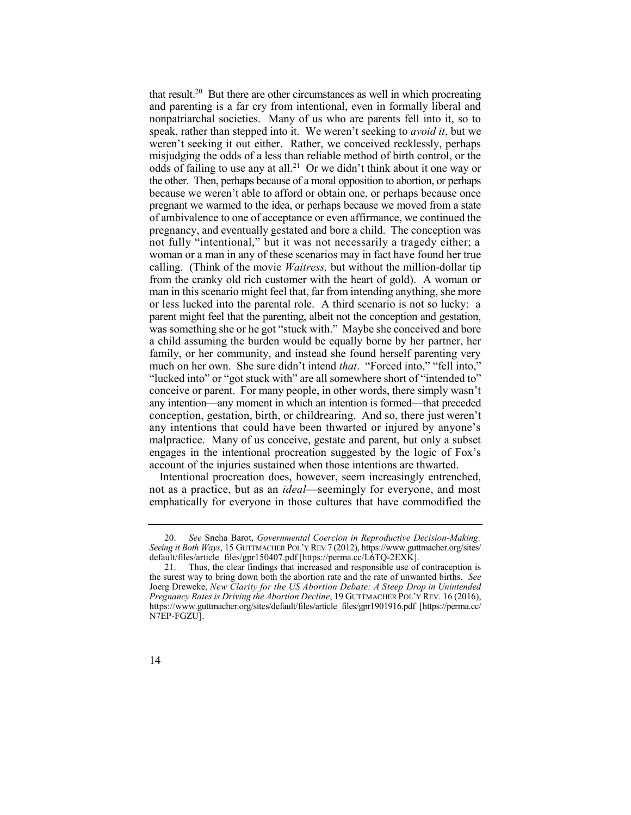that result.<sup>20</sup> But there are other circumstances as well in which procreating odds of failing to use any at all.<sup>21</sup> Or we didn't think about it one way or pregnant we warmed to the idea, or perhaps because we moved from a state not fully "intentional," but it was not necessarily a tragedy either; a woman or a man in any of these scenarios may in fact have found her true calling. (Think of the movie *Waitress,* but without the million-dollar tip from the cranky old rich customer with the heart of gold). A woman or man in this scenario might feel that, far from intending anything, she more or less lucked into the parental role. A third scenario is not so lucky: a parent might feel that the parenting, albeit not the conception and gestation, was something she or he got "stuck with." Maybe she conceived and bore a child assuming the burden would be equally borne by her partner, her family, or her community, and instead she found herself parenting very much on her own. She sure didn't intend *that*. "Forced into," "fell into," "lucked into" or "got stuck with" are all somewhere short of "intended to" conceive or parent. For many people, in other words, there simply wasn't any intention—any moment in which an intention is formed—that preceded conception, gestation, birth, or childrearing. And so, there just weren't any intentions that could have been thwarted or injured by anyone's malpractice. Many of us conceive, gestate and parent, but only a subset engages in the intentional procreation suggested by the logic of Fox's and parenting is a far cry from intentional, even in formally liberal and nonpatriarchal societies. Many of us who are parents fell into it, so to speak, rather than stepped into it. We weren't seeking to *avoid it*, but we weren't seeking it out either. Rather, we conceived recklessly, perhaps misjudging the odds of a less than reliable method of birth control, or the the other. Then, perhaps because of a moral opposition to abortion, or perhaps because we weren't able to afford or obtain one, or perhaps because once of ambivalence to one of acceptance or even affirmance, we continued the pregnancy, and eventually gestated and bore a child. The conception was account of the injuries sustained when those intentions are thwarted.

 Intentional procreation does, however, seem increasingly entrenched, not as a practice, but as an *ideal*—seemingly for everyone, and most emphatically for everyone in those cultures that have commodified the

 20. *See* Sneha Barot, *Governmental Coercion in Reproductive Decision-Making: Seeing it Both Ways*, 15 GUTTMACHER POL'Y REV 7 (2012), [https://www.guttmacher.org/sites/](https://www.guttmacher.org/sites) default/files/article\_files/gpr150407.pdf [[https://perma.cc/L6TQ-2EXK\]](https://perma.cc/L6TQ-2EXK).

 21. Thus, the clear findings that increased and responsible use of contraception is the surest way to bring down both the abortion rate and the rate of unwanted births. *See*  Joerg Dreweke, *New Clarity for the US Abortion Debate: A Steep Drop in Unintended Pregnancy Rates is Driving the Abortion Decline*, 19 GUTTMACHER POL'Y REV. 16 (2016), [https://www.guttmacher.org/sites/default/files/article\\_files/gpr1901916.pdf](https://www.guttmacher.org/sites/default/files/article_files/gpr1901916.pdf) [\[https://perma.cc/](https://perma.cc) N7EP-FGZU].

<sup>14</sup>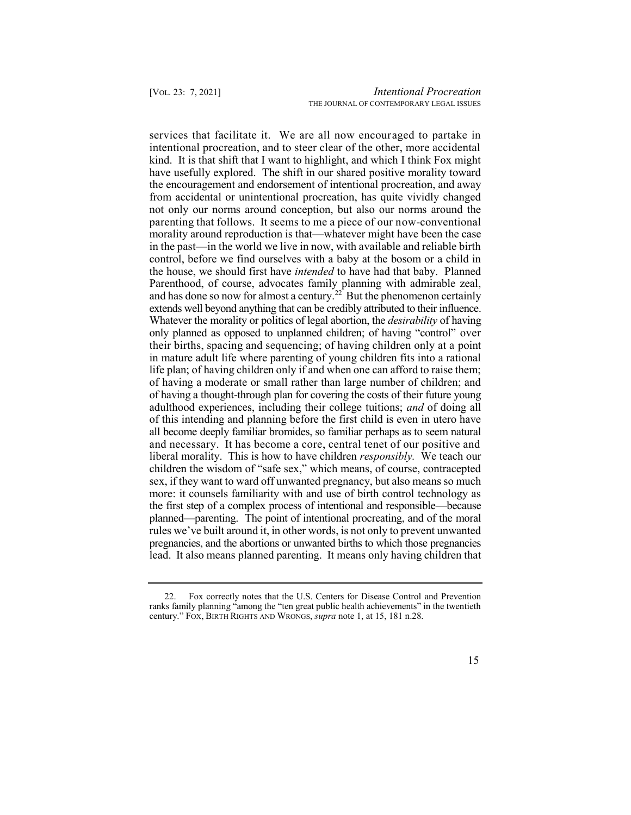services that facilitate it. We are all now encouraged to partake in kind. It is that shift that I want to highlight, and which I think Fox might have usefully explored. The shift in our shared positive morality toward and has done so now for almost a century.<sup>22</sup> But the phenomenon certainly of having a thought-through plan for covering the costs of their future young adulthood experiences, including their college tuitions; *and* of doing all of this intending and planning before the first child is even in utero have all become deeply familiar bromides, so familiar perhaps as to seem natural and necessary. It has become a core, central tenet of our positive and liberal morality. This is how to have children *responsibly.* We teach our children the wisdom of "safe sex," which means, of course, contracepted sex, if they want to ward off unwanted pregnancy, but also means so much more: it counsels familiarity with and use of birth control technology as the first step of a complex process of intentional and responsible—because planned—parenting. The point of intentional procreating, and of the moral rules we've built around it, in other words, is not only to prevent unwanted pregnancies, and the abortions or unwanted births to which those pregnancies lead. It also means planned parenting. It means only having children that intentional procreation, and to steer clear of the other, more accidental the encouragement and endorsement of intentional procreation, and away from accidental or unintentional procreation, has quite vividly changed not only our norms around conception, but also our norms around the parenting that follows. It seems to me a piece of our now-conventional morality around reproduction is that—whatever might have been the case in the past—in the world we live in now, with available and reliable birth control, before we find ourselves with a baby at the bosom or a child in the house, we should first have *intended* to have had that baby. Planned Parenthood, of course, advocates family planning with admirable zeal, extends well beyond anything that can be credibly attributed to their influence. Whatever the morality or politics of legal abortion, the *desirability* of having only planned as opposed to unplanned children; of having "control" over their births, spacing and sequencing; of having children only at a point in mature adult life where parenting of young children fits into a rational life plan; of having children only if and when one can afford to raise them; of having a moderate or small rather than large number of children; and

<sup>22.</sup> Fox correctly notes that the U.S. Centers for Disease Control and Prevention ranks family planning "among the "ten great public health achievements" in the twentieth century." FOX, BIRTH RIGHTS AND WRONGS, *supra* note 1, at 15, 181 n.28.

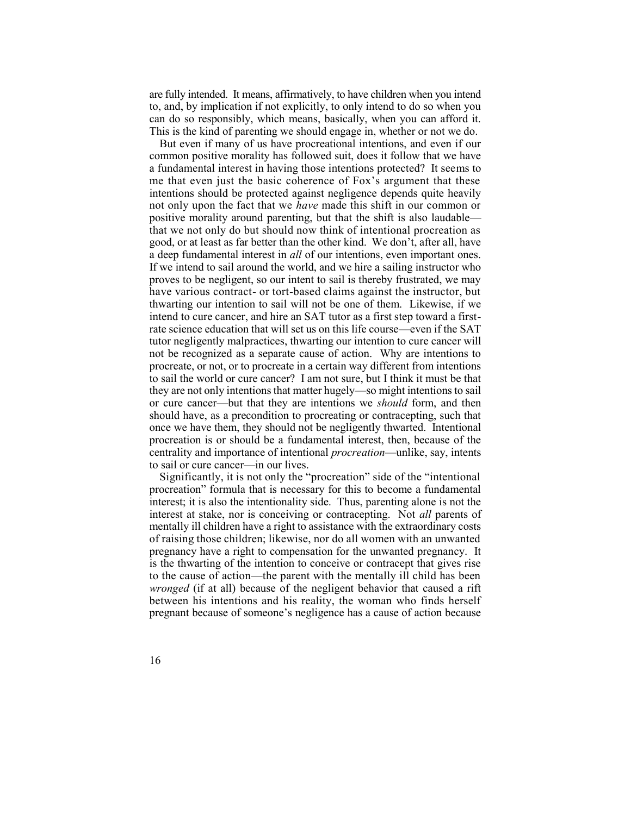are fully intended. It means, affirmatively, to have children when you intend to, and, by implication if not explicitly, to only intend to do so when you can do so responsibly, which means, basically, when you can afford it. This is the kind of parenting we should engage in, whether or not we do.

 But even if many of us have procreational intentions, and even if our common positive morality has followed suit, does it follow that we have a fundamental interest in having those intentions protected? It seems to me that even just the basic coherence of Fox's argument that these not only upon the fact that we *have* made this shift in our common or positive morality around parenting, but that the shift is also laudable— that we not only do but should now think of intentional procreation as good, or at least as far better than the other kind. We don't, after all, have a deep fundamental interest in *all* of our intentions, even important ones. If we intend to sail around the world, and we hire a sailing instructor who proves to be negligent, so our intent to sail is thereby frustrated, we may thwarting our intention to sail will not be one of them. Likewise, if we intend to cure cancer, and hire an SAT tutor as a first step toward a first- rate science education that will set us on this life course—even if the SAT tutor negligently malpractices, thwarting our intention to cure cancer will not be recognized as a separate cause of action. Why are intentions to procreate, or not, or to procreate in a certain way different from intentions they are not only intentions that matter hugely—so might intentions to sail or cure cancer—but that they are intentions we *should* form, and then should have, as a precondition to procreating or contracepting, such that once we have them, they should not be negligently thwarted. Intentional procreation is or should be a fundamental interest, then, because of the intentions should be protected against negligence depends quite heavily have various contract- or tort-based claims against the instructor, but to sail the world or cure cancer? I am not sure, but I think it must be that centrality and importance of intentional *procreation*—unlike, say, intents to sail or cure cancer—in our lives.

 Significantly, it is not only the "procreation" side of the "intentional procreation" formula that is necessary for this to become a fundamental interest; it is also the intentionality side. Thus, parenting alone is not the interest at stake, nor is conceiving or contracepting. Not *all* parents of mentally ill children have a right to assistance with the extraordinary costs of raising those children; likewise, nor do all women with an unwanted pregnancy have a right to compensation for the unwanted pregnancy. It is the thwarting of the intention to conceive or contracept that gives rise to the cause of action—the parent with the mentally ill child has been *wronged* (if at all) because of the negligent behavior that caused a rift between his intentions and his reality, the woman who finds herself pregnant because of someone's negligence has a cause of action because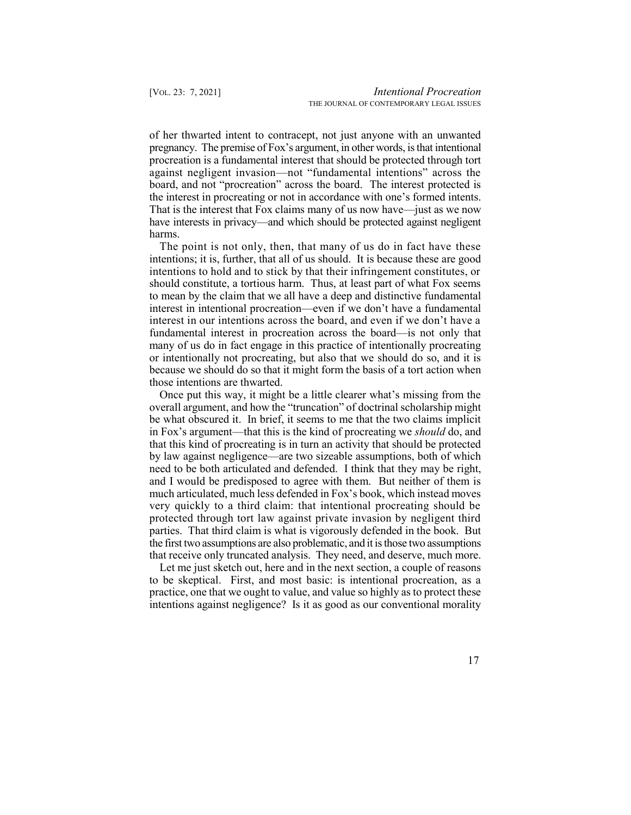of her thwarted intent to contracept, not just anyone with an unwanted pregnancy. The premise of Fox's argument, in other words, isthat intentional procreation is a fundamental interest that should be protected through tort against negligent invasion—not "fundamental intentions" across the board, and not "procreation" across the board. The interest protected is the interest in procreating or not in accordance with one's formed intents. That is the interest that Fox claims many of us now have—just as we now have interests in privacy—and which should be protected against negligent harms.

 The point is not only, then, that many of us do in fact have these intentions; it is, further, that all of us should. It is because these are good intentions to hold and to stick by that their infringement constitutes, or should constitute, a tortious harm. Thus, at least part of what Fox seems to mean by the claim that we all have a deep and distinctive fundamental interest in intentional procreation—even if we don't have a fundamental interest in our intentions across the board, and even if we don't have a fundamental interest in procreation across the board—is not only that many of us do in fact engage in this practice of intentionally procreating or intentionally not procreating, but also that we should do so, and it is because we should do so that it might form the basis of a tort action when those intentions are thwarted.

 Once put this way, it might be a little clearer what's missing from the overall argument, and how the "truncation" of doctrinal scholarship might be what obscured it. In brief, it seems to me that the two claims implicit in Fox's argument—that this is the kind of procreating we *should* do, and that this kind of procreating is in turn an activity that should be protected by law against negligence—are two sizeable assumptions, both of which need to be both articulated and defended. I think that they may be right, and I would be predisposed to agree with them. But neither of them is very quickly to a third claim: that intentional procreating should be protected through tort law against private invasion by negligent third the first two assumptions are also problematic, and it is those two assumptions that receive only truncated analysis. They need, and deserve, much more. much articulated, much less defended in Fox's book, which instead moves parties. That third claim is what is vigorously defended in the book. But

 Let me just sketch out, here and in the next section, a couple of reasons to be skeptical. First, and most basic: is intentional procreation, as a practice, one that we ought to value, and value so highly as to protect these intentions against negligence? Is it as good as our conventional morality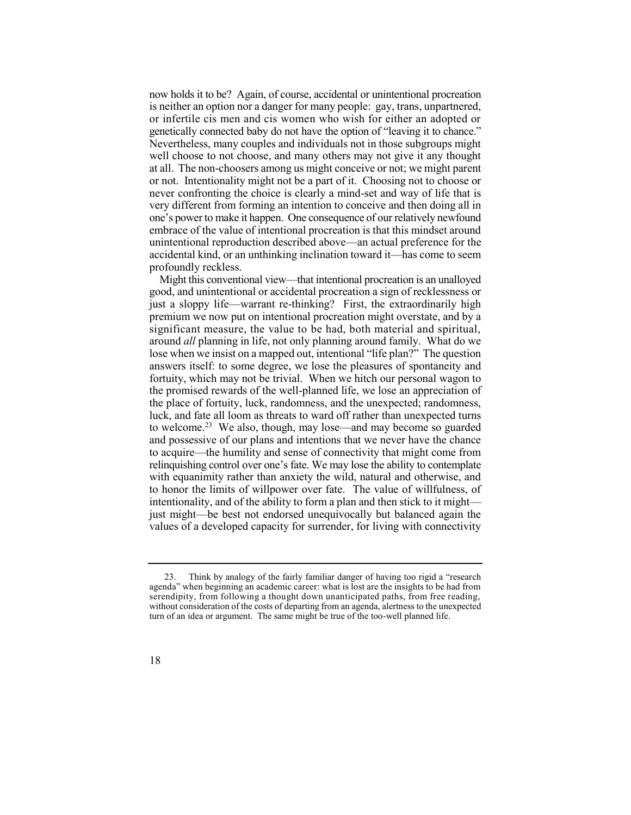now holds it to be? Again, of course, accidental or unintentional procreation is neither an option nor a danger for many people: gay, trans, unpartnered, or infertile cis men and cis women who wish for either an adopted or genetically connected baby do not have the option of "leaving it to chance." Nevertheless, many couples and individuals not in those subgroups might well choose to not choose, and many others may not give it any thought at all. The non-choosers among us might conceive or not; we might parent or not. Intentionality might not be a part of it. Choosing not to choose or never confronting the choice is clearly a mind-set and way of life that is very different from forming an intention to conceive and then doing all in one's power to make it happen. One consequence of our relatively newfound embrace of the value of intentional procreation is that this mindset around unintentional reproduction described above—an actual preference for the accidental kind, or an unthinking inclination toward it—has come to seem profoundly reckless.

 Might this conventional view—that intentional procreation is an unalloyed good, and unintentional or accidental procreation a sign of recklessness or just a sloppy life—warrant re-thinking? First, the extraordinarily high premium we now put on intentional procreation might overstate, and by a significant measure, the value to be had, both material and spiritual, around *all* planning in life, not only planning around family. What do we to welcome.<sup>23</sup> We also, though, may lose—and may become so guarded lose when we insist on a mapped out, intentional "life plan?" The question answers itself: to some degree, we lose the pleasures of spontaneity and fortuity, which may not be trivial. When we hitch our personal wagon to the promised rewards of the well-planned life, we lose an appreciation of the place of fortuity, luck, randomness, and the unexpected; randomness, luck, and fate all loom as threats to ward off rather than unexpected turns and possessive of our plans and intentions that we never have the chance to acquire—the humility and sense of connectivity that might come from relinquishing control over one's fate. We may lose the ability to contemplate with equanimity rather than anxiety the wild, natural and otherwise, and to honor the limits of willpower over fate. The value of willfulness, of intentionality, and of the ability to form a plan and then stick to it might just might—be best not endorsed unequivocally but balanced again the values of a developed capacity for surrender, for living with connectivity

<sup>23.</sup> Think by analogy of the fairly familiar danger of having too rigid a "research agenda" when beginning an academic career: what is lost are the insights to be had from serendipity, from following a thought down unanticipated paths, from free reading, without consideration of the costs of departing from an agenda, alertness to the unexpected turn of an idea or argument. The same might be true of the too-well planned life.

<sup>18</sup>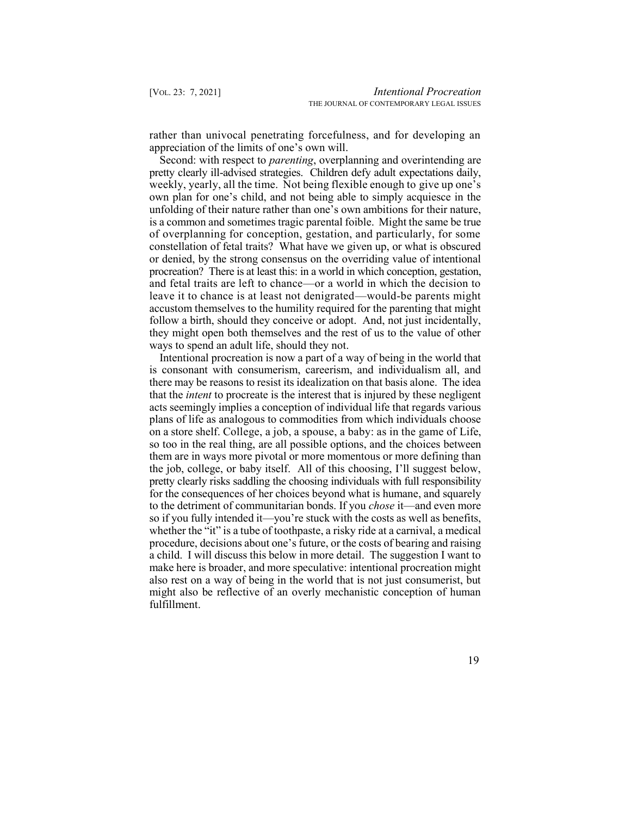rather than univocal penetrating forcefulness, and for developing an appreciation of the limits of one's own will.

 Second: with respect to *parenting*, overplanning and overintending are pretty clearly ill-advised strategies. Children defy adult expectations daily, weekly, yearly, all the time. Not being flexible enough to give up one's own plan for one's child, and not being able to simply acquiesce in the unfolding of their nature rather than one's own ambitions for their nature, is a common and sometimes tragic parental foible. Might the same be true of overplanning for conception, gestation, and particularly, for some constellation of fetal traits? What have we given up, or what is obscured or denied, by the strong consensus on the overriding value of intentional procreation? There is at least this: in a world in which conception, gestation, and fetal traits are left to chance—or a world in which the decision to leave it to chance is at least not denigrated—would-be parents might accustom themselves to the humility required for the parenting that might follow a birth, should they conceive or adopt. And, not just incidentally, they might open both themselves and the rest of us to the value of other ways to spend an adult life, should they not.

 Intentional procreation is now a part of a way of being in the world that is consonant with consumerism, careerism, and individualism all, and there may be reasons to resist its idealization on that basis alone. The idea that the *intent* to procreate is the interest that is injured by these negligent acts seemingly implies a conception of individual life that regards various plans of life as analogous to commodities from which individuals choose on a store shelf. College, a job, a spouse, a baby: as in the game of Life, so too in the real thing, are all possible options, and the choices between them are in ways more pivotal or more momentous or more defining than the job, college, or baby itself. All of this choosing, I'll suggest below, for the consequences of her choices beyond what is humane, and squarely to the detriment of communitarian bonds. If you *chose* it—and even more so if you fully intended it—you're stuck with the costs as well as benefits, procedure, decisions about one's future, or the costs of bearing and raising a child. I will discuss this below in more detail. The suggestion I want to make here is broader, and more speculative: intentional procreation might also rest on a way of being in the world that is not just consumerist, but might also be reflective of an overly mechanistic conception of human pretty clearly risks saddling the choosing individuals with full responsibility whether the "it" is a tube of toothpaste, a risky ride at a carnival, a medical fulfillment.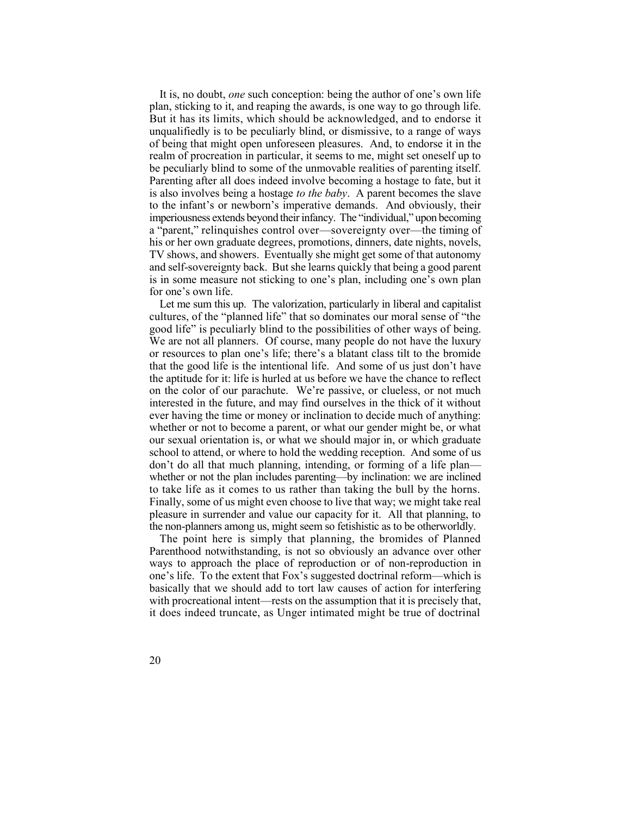plan, sticking to it, and reaping the awards, is one way to go through life. plan, sticking to it, and reaping the awards, is one way to go through life. But it has its limits, which should be acknowledged, and to endorse it unqualifiedly is to be peculiarly blind, or dismissive, to a range of ways of being that might open unforeseen pleasures. And, to endorse it in the realm of procreation in particular, it seems to me, might set oneself up to be peculiarly blind to some of the unmovable realities of parenting itself. Parenting after all does indeed involve becoming a hostage to fate, but it is also involves being a hostage *to the baby*. A parent becomes the slave to the infant's or newborn's imperative demands. And obviously, their imperiousness extends beyond their infancy. The "individual," upon becoming a "parent," relinquishes control over—sovereignty over—the timing of his or her own graduate degrees, promotions, dinners, date nights, novels, TV shows, and showers. Eventually she might get some of that autonomy and self-sovereignty back. But she learns quickly that being a good parent is in some measure not sticking to one's plan, including one's own plan It is, no doubt, *one* such conception: being the author of one's own life for one's own life.

 Let me sum this up. The valorization, particularly in liberal and capitalist cultures, of the "planned life" that so dominates our moral sense of "the good life" is peculiarly blind to the possibilities of other ways of being. We are not all planners. Of course, many people do not have the luxury or resources to plan one's life; there's a blatant class tilt to the bromide that the good life is the intentional life. And some of us just don't have the aptitude for it: life is hurled at us before we have the chance to reflect on the color of our parachute. We're passive, or clueless, or not much interested in the future, and may find ourselves in the thick of it without ever having the time or money or inclination to decide much of anything: whether or not to become a parent, or what our gender might be, or what our sexual orientation is, or what we should major in, or which graduate school to attend, or where to hold the wedding reception. And some of us don't do all that much planning, intending, or forming of a life plan— whether or not the plan includes parenting—by inclination: we are inclined to take life as it comes to us rather than taking the bull by the horns. Finally, some of us might even choose to live that way; we might take real pleasure in surrender and value our capacity for it. All that planning, to the non-planners among us, might seem so fetishistic as to be otherworldly.

 The point here is simply that planning, the bromides of Planned Parenthood notwithstanding, is not so obviously an advance over other ways to approach the place of reproduction or of non-reproduction in one's life. To the extent that Fox's suggested doctrinal reform—which is basically that we should add to tort law causes of action for interfering with procreational intent—rests on the assumption that it is precisely that, it does indeed truncate, as Unger intimated might be true of doctrinal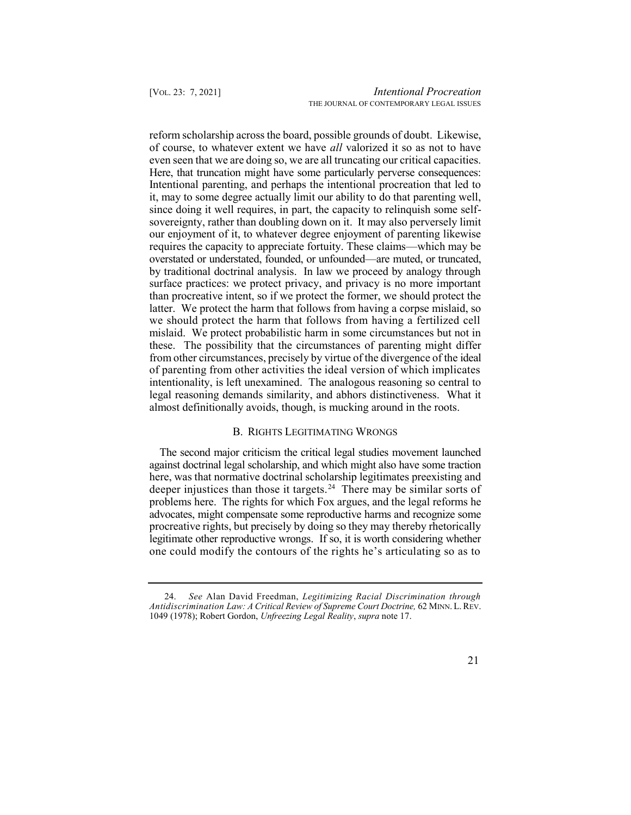reform scholarship across the board, possible grounds of doubt. Likewise, of course, to whatever extent we have *all* valorized it so as not to have even seen that we are doing so, we are all truncating our critical capacities. Here, that truncation might have some particularly perverse consequences: Intentional parenting, and perhaps the intentional procreation that led to since doing it well requires, in part, the capacity to relinquish some self- sovereignty, rather than doubling down on it. It may also perversely limit our enjoyment of it, to whatever degree enjoyment of parenting likewise overstated or understated, founded, or unfounded—are muted, or truncated, by traditional doctrinal analysis. In law we proceed by analogy through surface practices: we protect privacy, and privacy is no more important we should protect the harm that follows from having a fertilized cell mislaid. We protect probabilistic harm in some circumstances but not in these. The possibility that the circumstances of parenting might differ from other circumstances, precisely by virtue of the divergence of the ideal of parenting from other activities the ideal version of which implicates intentionality, is left unexamined. The analogous reasoning so central to legal reasoning demands similarity, and abhors distinctiveness. What it it, may to some degree actually limit our ability to do that parenting well, requires the capacity to appreciate fortuity. These claims—which may be than procreative intent, so if we protect the former, we should protect the latter. We protect the harm that follows from having a corpse mislaid, so almost definitionally avoids, though, is mucking around in the roots.

#### B. RIGHTS LEGITIMATING WRONGS

 The second major criticism the critical legal studies movement launched deeper injustices than those it targets.<sup>24</sup> There may be similar sorts of against doctrinal legal scholarship, and which might also have some traction here, was that normative doctrinal scholarship legitimates preexisting and problems here. The rights for which Fox argues, and the legal reforms he advocates, might compensate some reproductive harms and recognize some procreative rights, but precisely by doing so they may thereby rhetorically legitimate other reproductive wrongs. If so, it is worth considering whether one could modify the contours of the rights he's articulating so as to

 24. *See* Alan David Freedman, *Legitimizing Racial Discrimination through Antidiscrimination Law: A Critical Review of Supreme Court Doctrine,* 62 MINN. L. REV. 1049 (1978); Robert Gordon, *Unfreezing Legal Reality*, *supra* note 17.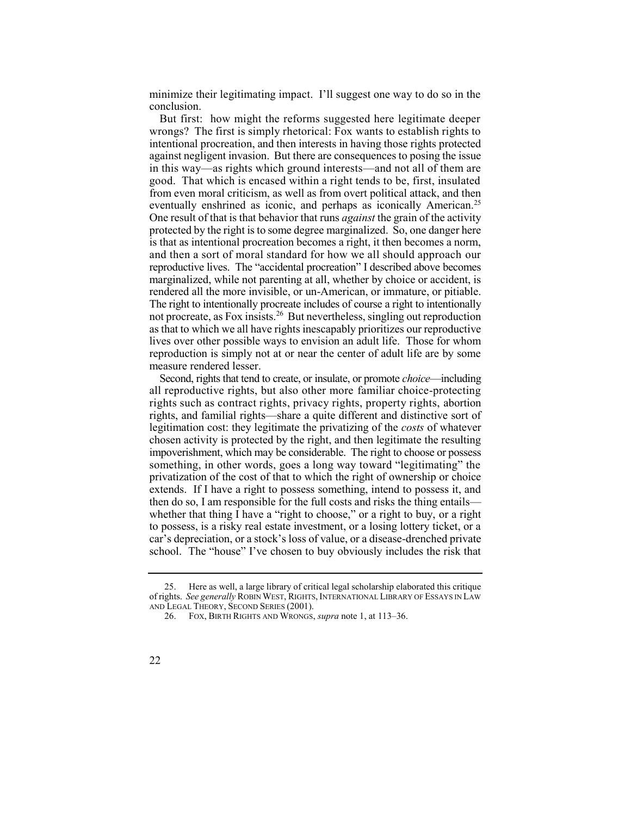minimize their legitimating impact. I'll suggest one way to do so in the conclusion.

 But first: how might the reforms suggested here legitimate deeper wrongs? The first is simply rhetorical: Fox wants to establish rights to intentional procreation, and then interests in having those rights protected against negligent invasion. But there are consequences to posing the issue in this way—as rights which ground interests—and not all of them are eventually enshrined as iconic, and perhaps as iconically American.<sup>25</sup> One result of that is that behavior that runs *against* the grain of the activity protected by the right is to some degree marginalized. So, one danger here is that as intentional procreation becomes a right, it then becomes a norm, reproductive lives. The "accidental procreation" I described above becomes not procreate, as Fox insists.<sup>26</sup> But nevertheless, singling out reproduction good. That which is encased within a right tends to be, first, insulated from even moral criticism, as well as from overt political attack, and then and then a sort of moral standard for how we all should approach our marginalized, while not parenting at all, whether by choice or accident, is rendered all the more invisible, or un-American, or immature, or pitiable. The right to intentionally procreate includes of course a right to intentionally as that to which we all have rights inescapably prioritizes our reproductive lives over other possible ways to envision an adult life. Those for whom reproduction is simply not at or near the center of adult life are by some measure rendered lesser.

 Second, rights that tend to create, or insulate, or promote *choice*—including all reproductive rights, but also other more familiar choice-protecting rights, and familial rights—share a quite different and distinctive sort of legitimation cost: they legitimate the privatizing of the *costs* of whatever chosen activity is protected by the right, and then legitimate the resulting impoverishment, which may be considerable. The right to choose or possess something, in other words, goes a long way toward "legitimating" the privatization of the cost of that to which the right of ownership or choice extends. If I have a right to possess something, intend to possess it, and then do so, I am responsible for the full costs and risks the thing entails whether that thing I have a "right to choose," or a right to buy, or a right to possess, is a risky real estate investment, or a losing lottery ticket, or a car's depreciation, or a stock's loss of value, or a disease-drenched private school. The "house" I've chosen to buy obviously includes the risk that rights such as contract rights, privacy rights, property rights, abortion

 25. Here as well, a large library of critical legal scholarship elaborated this critique of rights. *See generally* ROBIN WEST, RIGHTS, INTERNATIONAL LIBRARY OF ESSAYS IN LAW AND LEGAL THEORY, SECOND SERIES (2001).

<sup>26.</sup> FOX, BIRTH RIGHTS AND WRONGS, *supra* note 1, at 113–36.

<sup>22</sup>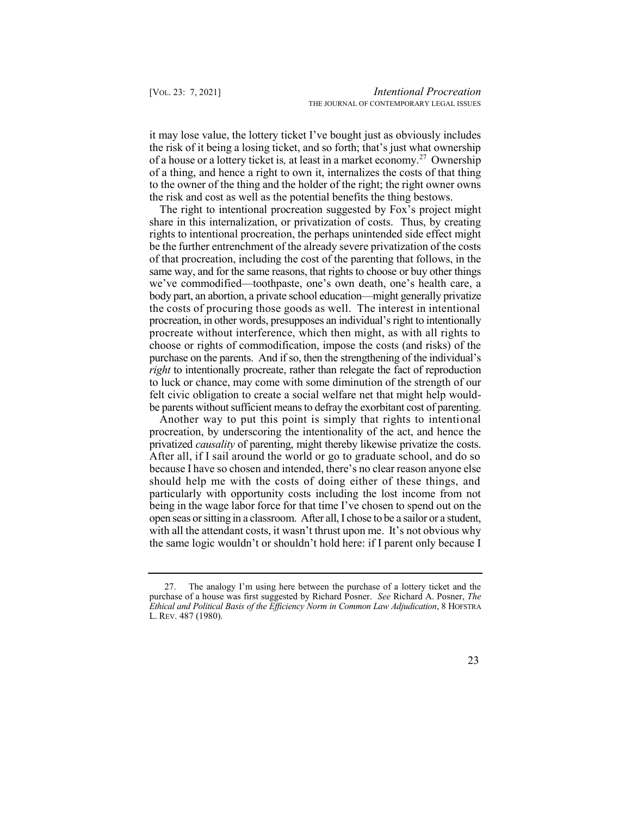it may lose value, the lottery ticket I've bought just as obviously includes the risk of it being a losing ticket, and so forth; that's just what ownership of a house or a lottery ticket is, at least in a market economy.<sup>27</sup> Ownership of a thing, and hence a right to own it, internalizes the costs of that thing to the owner of the thing and the holder of the right; the right owner owns the risk and cost as well as the potential benefits the thing bestows.

 The right to intentional procreation suggested by Fox's project might share in this internalization, or privatization of costs. Thus, by creating rights to intentional procreation, the perhaps unintended side effect might be the further entrenchment of the already severe privatization of the costs same way, and for the same reasons, that rights to choose or buy other things we've commodified—toothpaste, one's own death, one's health care, a body part, an abortion, a private school education—might generally privatize the costs of procuring those goods as well. The interest in intentional procreation, in other words, presupposes an individual's right to intentionally procreate without interference, which then might, as with all rights to choose or rights of commodification, impose the costs (and risks) of the purchase on the parents. And if so, then the strengthening of the individual's *right* to intentionally procreate, rather than relegate the fact of reproduction felt civic obligation to create a social welfare net that might help would- be parents without sufficient means to defray the exorbitant cost of parenting. of that procreation, including the cost of the parenting that follows, in the to luck or chance, may come with some diminution of the strength of our

 Another way to put this point is simply that rights to intentional procreation, by underscoring the intentionality of the act, and hence the privatized *causality* of parenting, might thereby likewise privatize the costs. After all, if I sail around the world or go to graduate school, and do so because I have so chosen and intended, there's no clear reason anyone else should help me with the costs of doing either of these things, and particularly with opportunity costs including the lost income from not being in the wage labor force for that time I've chosen to spend out on the open seas or sitting in a classroom. After all, I chose to be a sailor or a student, with all the attendant costs, it wasn't thrust upon me. It's not obvious why the same logic wouldn't or shouldn't hold here: if I parent only because I

 27. The analogy I'm using here between the purchase of a lottery ticket and the purchase of a house was first suggested by Richard Posner. *See* Richard A. Posner, *The Ethical and Political Basis of the Efficiency Norm in Common Law Adjudication*, 8 HOFSTRA L. REV. 487 (1980).

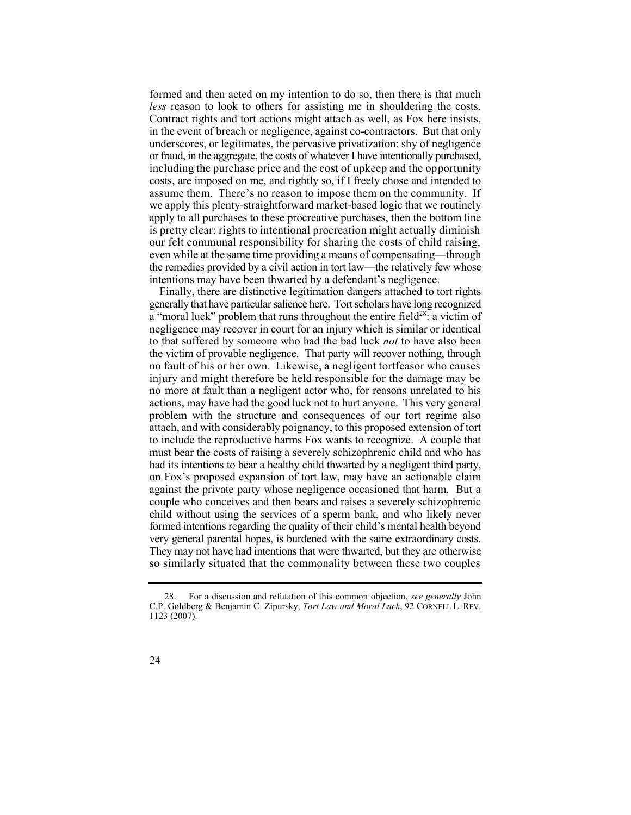formed and then acted on my intention to do so, then there is that much *less* reason to look to others for assisting me in shouldering the costs. Contract rights and tort actions might attach as well, as Fox here insists, in the event of breach or negligence, against co-contractors. But that only underscores, or legitimates, the pervasive privatization: shy of negligence or fraud, in the aggregate, the costs of whatever I have intentionally purchased, including the purchase price and the cost of upkeep and the opportunity assume them. There's no reason to impose them on the community. If we apply this plenty-straightforward market-based logic that we routinely apply to all purchases to these procreative purchases, then the bottom line is pretty clear: rights to intentional procreation might actually diminish our felt communal responsibility for sharing the costs of child raising, even while at the same time providing a means of compensating—through the remedies provided by a civil action in tort law—the relatively few whose costs, are imposed on me, and rightly so, if I freely chose and intended to intentions may have been thwarted by a defendant's negligence.

 Finally, there are distinctive legitimation dangers attached to tort rights generally that have particular salience here. Tort scholars have long recognized a "moral luck" problem that runs throughout the entire field<sup>28</sup>: a victim of negligence may recover in court for an injury which is similar or identical to that suffered by someone who had the bad luck *not* to have also been the victim of provable negligence. That party will recover nothing, through no fault of his or her own. Likewise, a negligent tortfeasor who causes injury and might therefore be held responsible for the damage may be no more at fault than a negligent actor who, for reasons unrelated to his actions, may have had the good luck not to hurt anyone. This very general problem with the structure and consequences of our tort regime also attach, and with considerably poignancy, to this proposed extension of tort to include the reproductive harms Fox wants to recognize. A couple that had its intentions to bear a healthy child thwarted by a negligent third party, on Fox's proposed expansion of tort law, may have an actionable claim against the private party whose negligence occasioned that harm. But a couple who conceives and then bears and raises a severely schizophrenic child without using the services of a sperm bank, and who likely never formed intentions regarding the quality of their child's mental health beyond very general parental hopes, is burdened with the same extraordinary costs. They may not have had intentions that were thwarted, but they are otherwise so similarly situated that the commonality between these two couples must bear the costs of raising a severely schizophrenic child and who has

 28. For a discussion and refutation of this common objection, *see generally* John C.P. Goldberg & Benjamin C. Zipursky, *Tort Law and Moral Luck*, 92 CORNELL L. REV. 1123 (2007).

<sup>24</sup>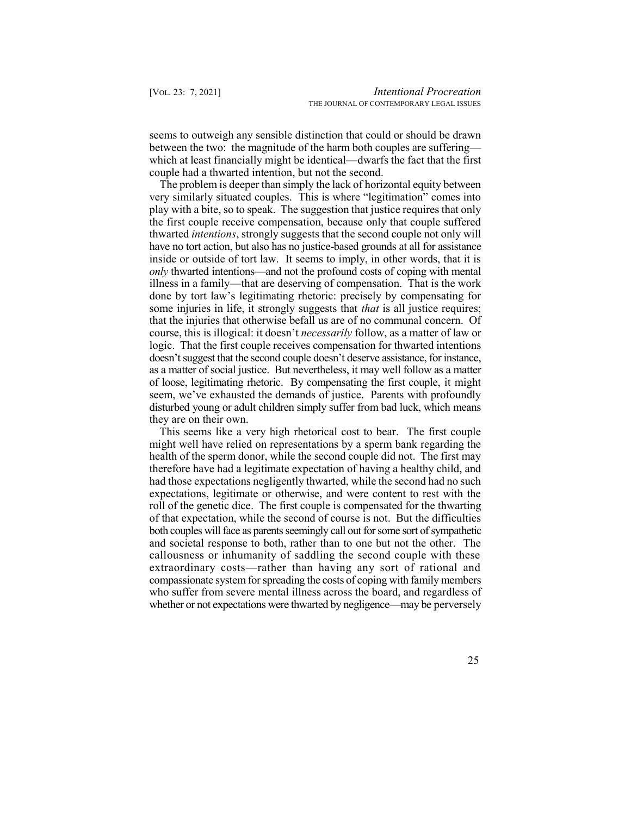between the two: the magnitude of the harm both couples are suffering— which at least financially might be identical—dwarfs the fact that the first couple had a thwarted intention, but not the second. seems to outweigh any sensible distinction that could or should be drawn

 The problem is deeper than simply the lack of horizontal equity between very similarly situated couples. This is where "legitimation" comes into play with a bite, so to speak. The suggestion that justice requires that only the first couple receive compensation, because only that couple suffered thwarted *intentions*, strongly suggests that the second couple not only will have no tort action, but also has no justice-based grounds at all for assistance inside or outside of tort law. It seems to imply, in other words, that it is *only* thwarted intentions—and not the profound costs of coping with mental illness in a family—that are deserving of compensation. That is the work done by tort law's legitimating rhetoric: precisely by compensating for some injuries in life, it strongly suggests that *that* is all justice requires; course, this is illogical: it doesn't *necessarily* follow, as a matter of law or logic. That the first couple receives compensation for thwarted intentions doesn't suggest that the second couple doesn't deserve assistance, for instance, as a matter of social justice. But nevertheless, it may well follow as a matter of loose, legitimating rhetoric. By compensating the first couple, it might seem, we've exhausted the demands of justice. Parents with profoundly disturbed young or adult children simply suffer from bad luck, which means that the injuries that otherwise befall us are of no communal concern. Of they are on their own.

 This seems like a very high rhetorical cost to bear. The first couple might well have relied on representations by a sperm bank regarding the health of the sperm donor, while the second couple did not. The first may therefore have had a legitimate expectation of having a healthy child, and expectations, legitimate or otherwise, and were content to rest with the roll of the genetic dice. The first couple is compensated for the thwarting of that expectation, while the second of course is not. But the difficulties both couples will face as parents seemingly call out for some sort of sympathetic and societal response to both, rather than to one but not the other. The callousness or inhumanity of saddling the second couple with these extraordinary costs—rather than having any sort of rational and compassionate system for spreading the costs of coping with family members who suffer from severe mental illness across the board, and regardless of whether or not expectations were thwarted by negligence—may be perversely had those expectations negligently thwarted, while the second had no such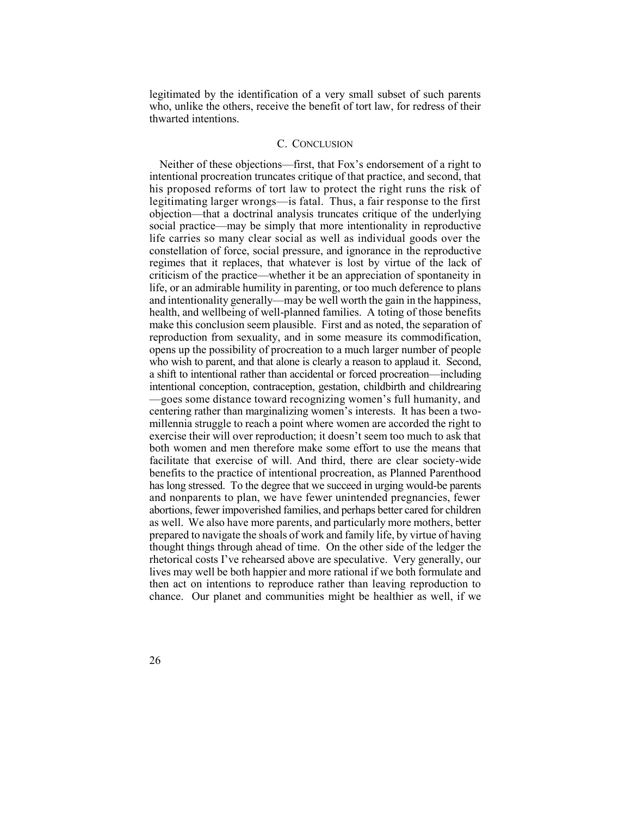legitimated by the identification of a very small subset of such parents who, unlike the others, receive the benefit of tort law, for redress of their thwarted intentions.

#### C. CONCLUSION

 Neither of these objections—first, that Fox's endorsement of a right to intentional procreation truncates critique of that practice, and second, that his proposed reforms of tort law to protect the right runs the risk of legitimating larger wrongs—is fatal. Thus, a fair response to the first objection—that a doctrinal analysis truncates critique of the underlying social practice—may be simply that more intentionality in reproductive life carries so many clear social as well as individual goods over the constellation of force, social pressure, and ignorance in the reproductive regimes that it replaces, that whatever is lost by virtue of the lack of criticism of the practice—whether it be an appreciation of spontaneity in life, or an admirable humility in parenting, or too much deference to plans and intentionality generally—may be well worth the gain in the happiness, health, and wellbeing of well-planned families. A toting of those benefits make this conclusion seem plausible. First and as noted, the separation of opens up the possibility of procreation to a much larger number of people a shift to intentional rather than accidental or forced procreation—including intentional conception, contraception, gestation, childbirth and childrearing —goes some distance toward recognizing women's full humanity, and centering rather than marginalizing women's interests. It has been a two- millennia struggle to reach a point where women are accorded the right to exercise their will over reproduction; it doesn't seem too much to ask that both women and men therefore make some effort to use the means that facilitate that exercise of will. And third, there are clear society-wide benefits to the practice of intentional procreation, as Planned Parenthood has long stressed. To the degree that we succeed in urging would-be parents and nonparents to plan, we have fewer unintended pregnancies, fewer abortions, fewer impoverished families, and perhaps better cared for children as well. We also have more parents, and particularly more mothers, better prepared to navigate the shoals of work and family life, by virtue of having thought things through ahead of time. On the other side of the ledger the rhetorical costs I've rehearsed above are speculative. Very generally, our lives may well be both happier and more rational if we both formulate and then act on intentions to reproduce rather than leaving reproduction to chance. Our planet and communities might be healthier as well, if we reproduction from sexuality, and in some measure its commodification, who wish to parent, and that alone is clearly a reason to applaud it. Second,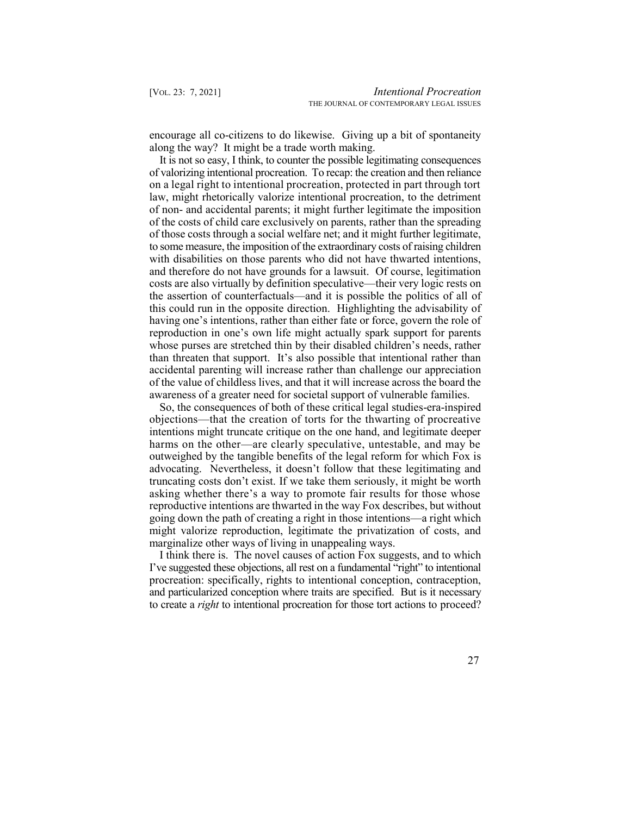encourage all co-citizens to do likewise. Giving up a bit of spontaneity along the way? It might be a trade worth making.

 It is not so easy, I think, to counter the possible legitimating consequences of valorizing intentional procreation. To recap: the creation and then reliance on a legal right to intentional procreation, protected in part through tort law, might rhetorically valorize intentional procreation, to the detriment of non- and accidental parents; it might further legitimate the imposition of the costs of child care exclusively on parents, rather than the spreading of those costs through a social welfare net; and it might further legitimate, to some measure, the imposition of the extraordinary costs of raising children and therefore do not have grounds for a lawsuit. Of course, legitimation costs are also virtually by definition speculative—their very logic rests on the assertion of counterfactuals—and it is possible the politics of all of this could run in the opposite direction. Highlighting the advisability of having one's intentions, rather than either fate or force, govern the role of reproduction in one's own life might actually spark support for parents whose purses are stretched thin by their disabled children's needs, rather than threaten that support. It's also possible that intentional rather than accidental parenting will increase rather than challenge our appreciation of the value of childless lives, and that it will increase across the board the awareness of a greater need for societal support of vulnerable families. with disabilities on those parents who did not have thwarted intentions,

 objections—that the creation of torts for the thwarting of procreative harms on the other—are clearly speculative, untestable, and may be outweighed by the tangible benefits of the legal reform for which Fox is advocating. Nevertheless, it doesn't follow that these legitimating and truncating costs don't exist. If we take them seriously, it might be worth asking whether there's a way to promote fair results for those whose reproductive intentions are thwarted in the way Fox describes, but without going down the path of creating a right in those intentions—a right which might valorize reproduction, legitimate the privatization of costs, and So, the consequences of both of these critical legal studies-era-inspired intentions might truncate critique on the one hand, and legitimate deeper marginalize other ways of living in unappealing ways.

 I've suggested these objections, all rest on a fundamental "right" to intentional and particularized conception where traits are specified. But is it necessary to create a *right* to intentional procreation for those tort actions to proceed? I think there is. The novel causes of action Fox suggests, and to which procreation: specifically, rights to intentional conception, contraception,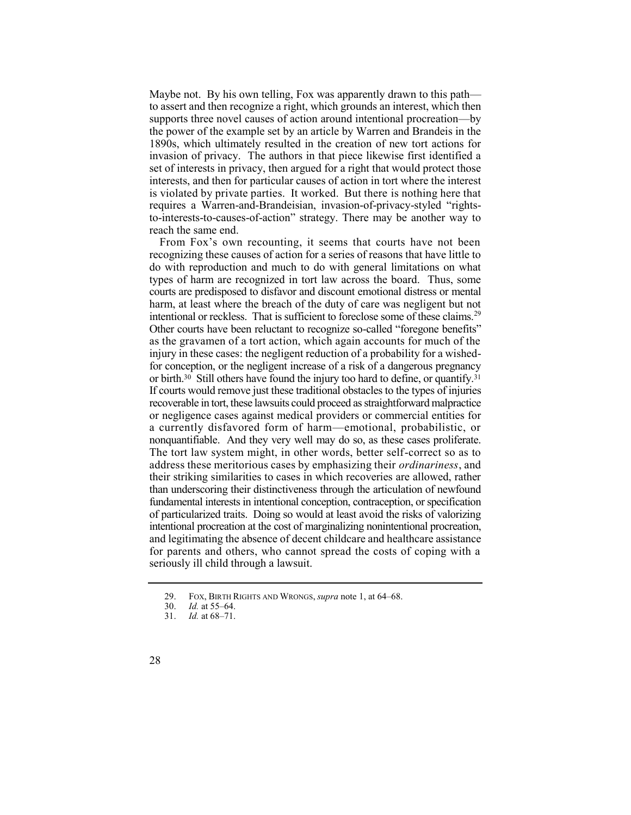Maybe not. By his own telling, Fox was apparently drawn to this path— supports three novel causes of action around intentional procreation—by 1890s, which ultimately resulted in the creation of new tort actions for invasion of privacy. The authors in that piece likewise first identified a set of interests in privacy, then argued for a right that would protect those interests, and then for particular causes of action in tort where the interest is violated by private parties. It worked. But there is nothing here that to-interests-to-causes-of-action" strategy. There may be another way to to assert and then recognize a right, which grounds an interest, which then the power of the example set by an article by Warren and Brandeis in the requires a Warren-and-Brandeisian, invasion-of-privacy-styled "rightsreach the same end.

 From Fox's own recounting, it seems that courts have not been recognizing these causes of action for a series of reasons that have little to types of harm are recognized in tort law across the board. Thus, some harm, at least where the breach of the duty of care was negligent but not intentional or reckless. That is sufficient to foreclose some of these claims.<sup>29</sup> Other courts have been reluctant to recognize so-called "foregone benefits" as the gravamen of a tort action, which again accounts for much of the injury in these cases: the negligent reduction of a probability for a wished- for conception, or the negligent increase of a risk of a dangerous pregnancy or [birth.30](https://birth.30) Still others have found the injury too hard to define, or [quantify.31](https://quantify.31)  recoverable in tort, these lawsuits could proceed as straightforward malpractice or negligence cases against medical providers or commercial entities for a currently disfavored form of harm—emotional, probabilistic, or nonquantifiable. And they very well may do so, as these cases proliferate. The tort law system might, in other words, better self-correct so as to address these meritorious cases by emphasizing their *ordinariness*, and their striking similarities to cases in which recoveries are allowed, rather than underscoring their distinctiveness through the articulation of newfound fundamental interests in intentional conception, contraception, or specification intentional procreation at the cost of marginalizing nonintentional procreation, and legitimating the absence of decent childcare and healthcare assistance for parents and others, who cannot spread the costs of coping with a do with reproduction and much to do with general limitations on what courts are predisposed to disfavor and discount emotional distress or mental If courts would remove just these traditional obstacles to the types of injuries of particularized traits. Doing so would at least avoid the risks of valorizing seriously ill child through a lawsuit.

<sup>29.</sup> FOX, BIRTH RIGHTS AND WRONGS, *supra* note 1, at 64–68.

<sup>30.</sup> *Id.* at 55–64.

<sup>31.</sup> *Id.* at 68–71.

<sup>28</sup>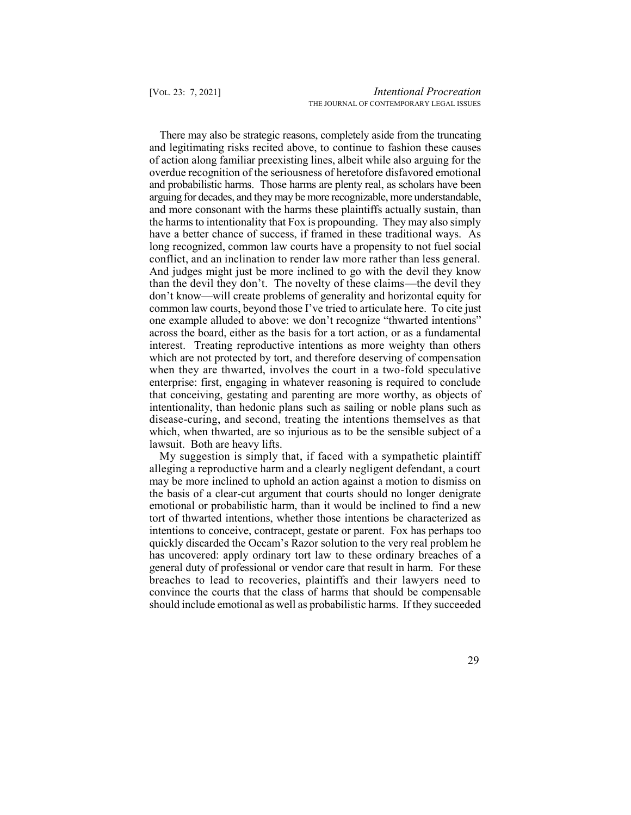of action along familiar preexisting lines, albeit while also arguing for the overdue recognition of the seriousness of heretofore disfavored emotional arguing for decades, and they may be more recognizable, more understandable, and more consonant with the harms these plaintiffs actually sustain, than the harms to intentionality that Fox is propounding. They may also simply have a better chance of success, if framed in these traditional ways. As long recognized, common law courts have a propensity to not fuel social conflict, and an inclination to render law more rather than less general. And judges might just be more inclined to go with the devil they know than the devil they don't. The novelty of these claims—the devil they common law courts, beyond those I've tried to articulate here. To cite just across the board, either as the basis for a tort action, or as a fundamental interest. Treating reproductive intentions as more weighty than others which are not protected by tort, and therefore deserving of compensation when they are thwarted, involves the court in a two-fold speculative enterprise: first, engaging in whatever reasoning is required to conclude that conceiving, gestating and parenting are more worthy, as objects of intentionality, than hedonic plans such as sailing or noble plans such as disease-curing, and second, treating the intentions themselves as that which, when thwarted, are so injurious as to be the sensible subject of a There may also be strategic reasons, completely aside from the truncating and legitimating risks recited above, to continue to fashion these causes and probabilistic harms. Those harms are plenty real, as scholars have been don't know—will create problems of generality and horizontal equity for one example alluded to above: we don't recognize "thwarted intentions" lawsuit. Both are heavy lifts.

 My suggestion is simply that, if faced with a sympathetic plaintiff alleging a reproductive harm and a clearly negligent defendant, a court may be more inclined to uphold an action against a motion to dismiss on the basis of a clear-cut argument that courts should no longer denigrate tort of thwarted intentions, whether those intentions be characterized as quickly discarded the Occam's Razor solution to the very real problem he has uncovered: apply ordinary tort law to these ordinary breaches of a breaches to lead to recoveries, plaintiffs and their lawyers need to convince the courts that the class of harms that should be compensable should include emotional as well as probabilistic harms. If they succeeded emotional or probabilistic harm, than it would be inclined to find a new intentions to conceive, contracept, gestate or parent. Fox has perhaps too general duty of professional or vendor care that result in harm. For these